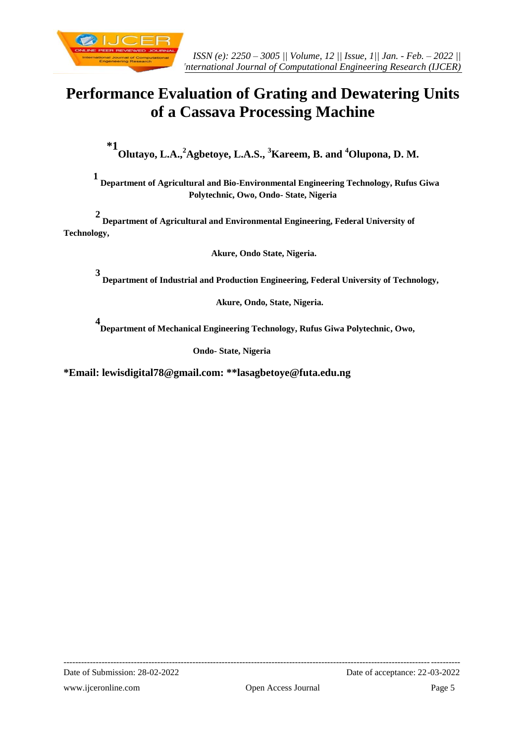

# **Performance Evaluation of Grating and Dewatering Units of a Cassava Processing Machine**

**\*1 Olutayo, L.A.,<sup>2</sup>Agbetoye, L.A.S., <sup>3</sup>Kareem, B. and <sup>4</sup>Olupona, D. M.**

 **1 Department of Agricultural and Bio-Environmental Engineering Technology, Rufus Giwa Polytechnic, Owo, Ondo- State, Nigeria**

 **2 Department of Agricultural and Environmental Engineering, Federal University of Technology,**

**Akure, Ondo State, Nigeria.**

**3 Department of Industrial and Production Engineering, Federal University of Technology,**

 **Akure, Ondo, State, Nigeria.**

**4 Department of Mechanical Engineering Technology, Rufus Giwa Polytechnic, Owo,**

**Ondo- State, Nigeria**

**\*Email: lewisdigital78@gmail.com: \*\*lasagbetoye@futa.edu.ng**

--------------------------------------------------------------------------------------------------------------------------------------- Date of Submission: 28-02-2022 Date of acceptance: 22-03-2022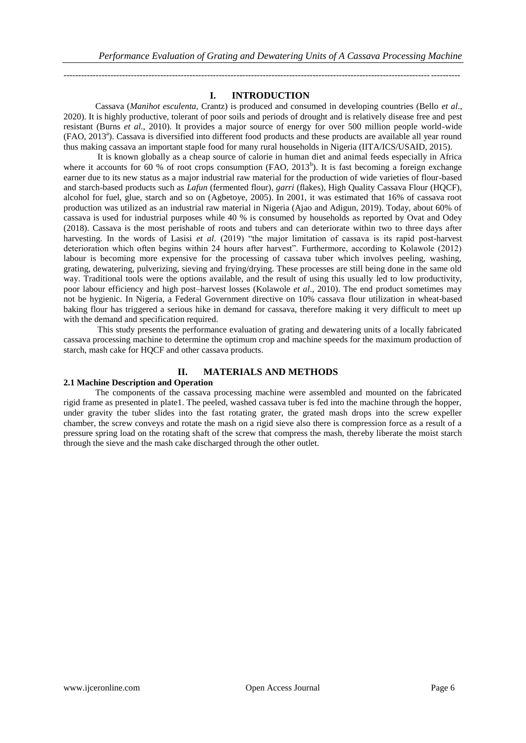# **I. INTRODUCTION**

---------------------------------------------------------------------------------------------------------------------------------------

Cassava (*Manihot esculenta,* Crantz) is produced and consumed in developing countries (Bello *et al*., 2020). It is highly productive, tolerant of poor soils and periods of drought and is relatively disease free and pest resistant (Burns *et al*., 2010). It provides a major source of energy for over 500 million people world-wide (FAO, 2013<sup>a</sup>). Cassava is diversified into different food products and these products are available all year round thus making cassava an important staple food for many rural households in Nigeria (IITA/ICS/USAID, 2015).

It is known globally as a cheap source of calorie in human diet and animal feeds especially in Africa where it accounts for 60 % of root crops consumption (FAO,  $2013<sup>b</sup>$ ). It is fast becoming a foreign exchange earner due to its new status as a major industrial raw material for the production of wide varieties of flour-based and starch-based products such as *Lafun* (fermented flour)*, garri* (flakes), High Quality Cassava Flour (HQCF), alcohol for fuel, glue, starch and so on (Agbetoye, 2005). In 2001, it was estimated that 16% of cassava root production was utilized as an industrial raw material in Nigeria (Ajao and Adigun, 2019). Today, about 60% of cassava is used for industrial purposes while 40 % is consumed by households as reported by Ovat and Odey (2018). Cassava is the most perishable of roots and tubers and can deteriorate within two to three days after harvesting. In the words of Lasisi *et al*. (2019) "the major limitation of cassava is its rapid post-harvest deterioration which often begins within 24 hours after harvest". Furthermore, according to Kolawole (2012) labour is becoming more expensive for the processing of cassava tuber which involves peeling, washing, grating, dewatering, pulverizing, sieving and frying/drying. These processes are still being done in the same old way. Traditional tools were the options available, and the result of using this usually led to low productivity, poor labour efficiency and high post–harvest losses (Kolawole *et al*., 2010). The end product sometimes may not be hygienic. In Nigeria, a Federal Government directive on 10% cassava flour utilization in wheat-based baking flour has triggered a serious hike in demand for cassava, therefore making it very difficult to meet up with the demand and specification required.

This study presents the performance evaluation of grating and dewatering units of a locally fabricated cassava processing machine to determine the optimum crop and machine speeds for the maximum production of starch, mash cake for HQCF and other cassava products.

# **II. MATERIALS AND METHODS**

# **2.1 Machine Description and Operation**

The components of the cassava processing machine were assembled and mounted on the fabricated rigid frame as presented in plate1. The peeled, washed cassava tuber is fed into the machine through the hopper, under gravity the tuber slides into the fast rotating grater, the grated mash drops into the screw expeller chamber, the screw conveys and rotate the mash on a rigid sieve also there is compression force as a result of a pressure spring load on the rotating shaft of the screw that compress the mash, thereby liberate the moist starch through the sieve and the mash cake discharged through the other outlet.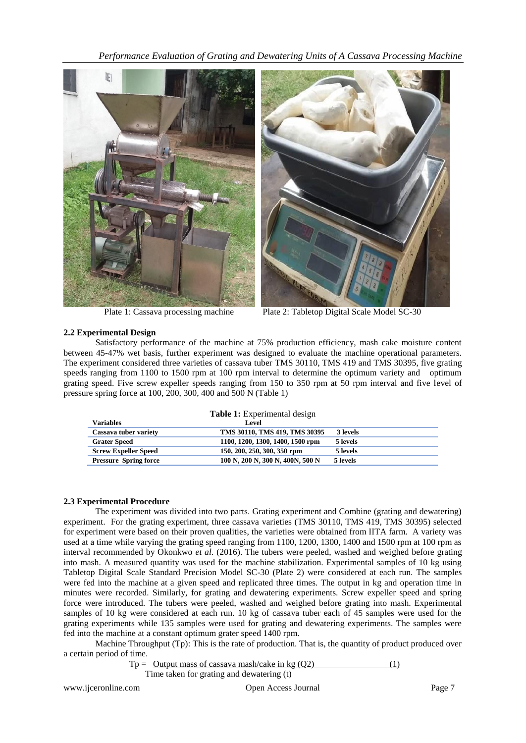*Performance Evaluation of Grating and Dewatering Units of A Cassava Processing Machine*



Plate 1: Cassava processing machine Plate 2: Tabletop Digital Scale Model SC-30

# **2.2 Experimental Design**

Satisfactory performance of the machine at 75% production efficiency, mash cake moisture content between 45-47% wet basis, further experiment was designed to evaluate the machine operational parameters. The experiment considered three varieties of cassava tuber TMS 30110, TMS 419 and TMS 30395, five grating speeds ranging from 1100 to 1500 rpm at 100 rpm interval to determine the optimum variety and optimum grating speed. Five screw expeller speeds ranging from 150 to 350 rpm at 50 rpm interval and five level of pressure spring force at 100, 200, 300, 400 and 500 N (Table 1)

|  |  |  |  | Table 1: Experimental design |  |  |
|--|--|--|--|------------------------------|--|--|
|--|--|--|--|------------------------------|--|--|

| Variables                    | <b>Level</b>                     |          |
|------------------------------|----------------------------------|----------|
| Cassava tuber variety        | TMS 30110, TMS 419, TMS 30395    | 3 levels |
| <b>Grater Speed</b>          | 1100, 1200, 1300, 1400, 1500 rpm | 5 levels |
| <b>Screw Expeller Speed</b>  | 150, 200, 250, 300, 350 rpm      | 5 levels |
| <b>Pressure Spring force</b> | 100 N, 200 N, 300 N, 400N, 500 N | 5 levels |

### **2.3 Experimental Procedure**

The experiment was divided into two parts. Grating experiment and Combine (grating and dewatering) experiment. For the grating experiment, three cassava varieties (TMS 30110, TMS 419, TMS 30395) selected for experiment were based on their proven qualities, the varieties were obtained from IITA farm. A variety was used at a time while varying the grating speed ranging from 1100, 1200, 1300, 1400 and 1500 rpm at 100 rpm as interval recommended by Okonkwo *et al.* (2016). The tubers were peeled, washed and weighed before grating into mash. A measured quantity was used for the machine stabilization. Experimental samples of 10 kg using Tabletop Digital Scale Standard Precision Model SC-30 (Plate 2) were considered at each run. The samples were fed into the machine at a given speed and replicated three times. The output in kg and operation time in minutes were recorded. Similarly, for grating and dewatering experiments. Screw expeller speed and spring force were introduced. The tubers were peeled, washed and weighed before grating into mash. Experimental samples of 10 kg were considered at each run. 10 kg of cassava tuber each of 45 samples were used for the grating experiments while 135 samples were used for grating and dewatering experiments. The samples were fed into the machine at a constant optimum grater speed 1400 rpm.

Machine Throughput (Tp): This is the rate of production. That is, the quantity of product produced over a certain period of time.

$$
Tp = \underbrace{Output \text{ mass of cassava mask/cake in kg (Q2)}}_{(1)}
$$

Time taken for grating and dewatering (t)

```
www.ijceronline.com 			 Open Access Journal Page 7
```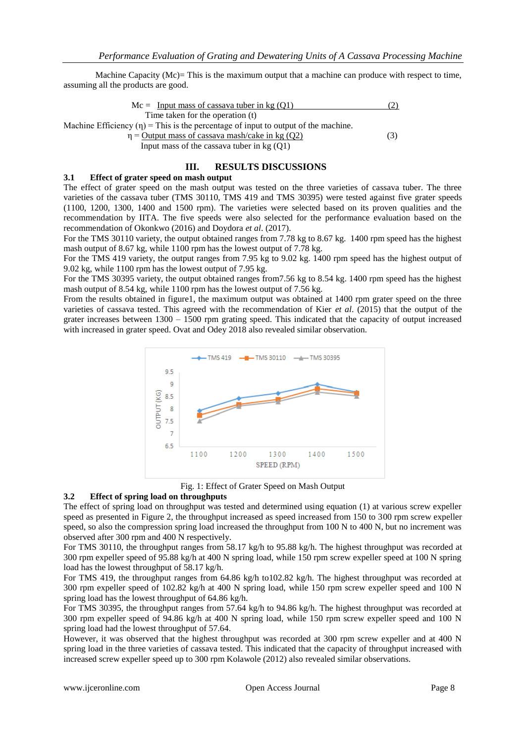Machine Capacity (Mc)= This is the maximum output that a machine can produce with respect to time, assuming all the products are good.

$$
Mc = \underline{Input \text{ mass of cassava tuber in kg (Q1)}} \tag{2}
$$
  
Time taken for the operation (t)

Machine Efficiency  $(\eta)$  = This is the percentage of input to output of the machine.

 $\eta$  = Output mass of cassava mash/cake in kg (Q2) (3)

Input mass of the cassava tuber in  $kg (O1)$ 

#### **III. RESULTS DISCUSSIONS**

### **3.1 Effect of grater speed on mash output**

The effect of grater speed on the mash output was tested on the three varieties of cassava tuber. The three varieties of the cassava tuber (TMS 30110, TMS 419 and TMS 30395) were tested against five grater speeds (1100, 1200, 1300, 1400 and 1500 rpm). The varieties were selected based on its proven qualities and the recommendation by IITA. The five speeds were also selected for the performance evaluation based on the recommendation of Okonkwo (2016) and Doydora *et al*. (2017).

For the TMS 30110 variety, the output obtained ranges from 7.78 kg to 8.67 kg. 1400 rpm speed has the highest mash output of 8.67 kg, while 1100 rpm has the lowest output of 7.78 kg.

For the TMS 419 variety, the output ranges from 7.95 kg to 9.02 kg. 1400 rpm speed has the highest output of 9.02 kg, while 1100 rpm has the lowest output of 7.95 kg.

For the TMS 30395 variety, the output obtained ranges from7.56 kg to 8.54 kg. 1400 rpm speed has the highest mash output of 8.54 kg, while 1100 rpm has the lowest output of 7.56 kg.

From the results obtained in figure1, the maximum output was obtained at 1400 rpm grater speed on the three varieties of cassava tested. This agreed with the recommendation of Kier *et al*. (2015) that the output of the grater increases between 1300 – 1500 rpm grating speed. This indicated that the capacity of output increased with increased in grater speed. Ovat and Odey 2018 also revealed similar observation.



Fig. 1: Effect of Grater Speed on Mash Output

#### **3.2 Effect of spring load on throughputs**

The effect of spring load on throughput was tested and determined using equation (1) at various screw expeller speed as presented in Figure 2, the throughput increased as speed increased from 150 to 300 rpm screw expeller speed, so also the compression spring load increased the throughput from 100 N to 400 N, but no increment was observed after 300 rpm and 400 N respectively.

For TMS 30110, the throughput ranges from 58.17 kg/h to 95.88 kg/h. The highest throughput was recorded at 300 rpm expeller speed of 95.88 kg/h at 400 N spring load, while 150 rpm screw expeller speed at 100 N spring load has the lowest throughput of 58.17 kg/h.

For TMS 419, the throughput ranges from 64.86 kg/h to102.82 kg/h. The highest throughput was recorded at 300 rpm expeller speed of 102.82 kg/h at 400 N spring load, while 150 rpm screw expeller speed and 100 N spring load has the lowest throughput of 64.86 kg/h.

For TMS 30395, the throughput ranges from 57.64 kg/h to 94.86 kg/h. The highest throughput was recorded at 300 rpm expeller speed of 94.86 kg/h at 400 N spring load, while 150 rpm screw expeller speed and 100 N spring load had the lowest throughput of 57.64.

However, it was observed that the highest throughput was recorded at 300 rpm screw expeller and at 400 N spring load in the three varieties of cassava tested. This indicated that the capacity of throughput increased with increased screw expeller speed up to 300 rpm Kolawole (2012) also revealed similar observations.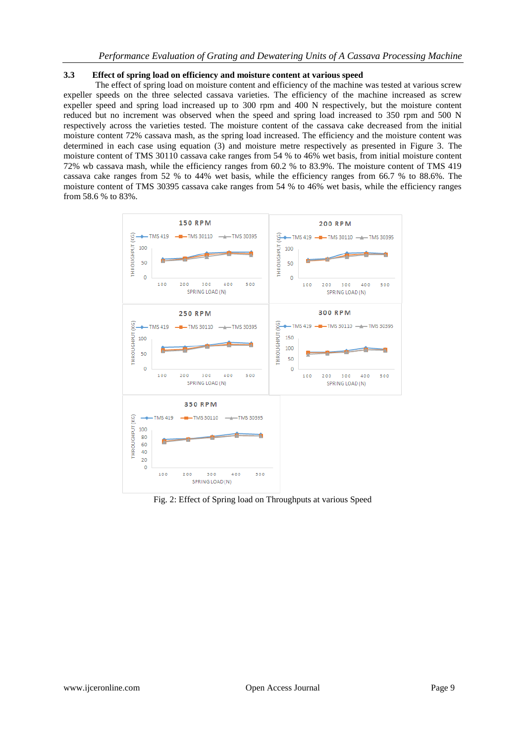### **3.3 Effect of spring load on efficiency and moisture content at various speed**

The effect of spring load on moisture content and efficiency of the machine was tested at various screw expeller speeds on the three selected cassava varieties. The efficiency of the machine increased as screw expeller speed and spring load increased up to 300 rpm and 400 N respectively, but the moisture content reduced but no increment was observed when the speed and spring load increased to 350 rpm and 500 N respectively across the varieties tested. The moisture content of the cassava cake decreased from the initial moisture content 72% cassava mash, as the spring load increased. The efficiency and the moisture content was determined in each case using equation (3) and moisture metre respectively as presented in Figure 3. The moisture content of TMS 30110 cassava cake ranges from 54 % to 46% wet basis, from initial moisture content 72% wb cassava mash, while the efficiency ranges from 60.2 % to 83.9%. The moisture content of TMS 419 cassava cake ranges from 52 % to 44% wet basis, while the efficiency ranges from 66.7 % to 88.6%. The moisture content of TMS 30395 cassava cake ranges from 54 % to 46% wet basis, while the efficiency ranges from 58.6 % to 83%.



Fig. 2: Effect of Spring load on Throughputs at various Speed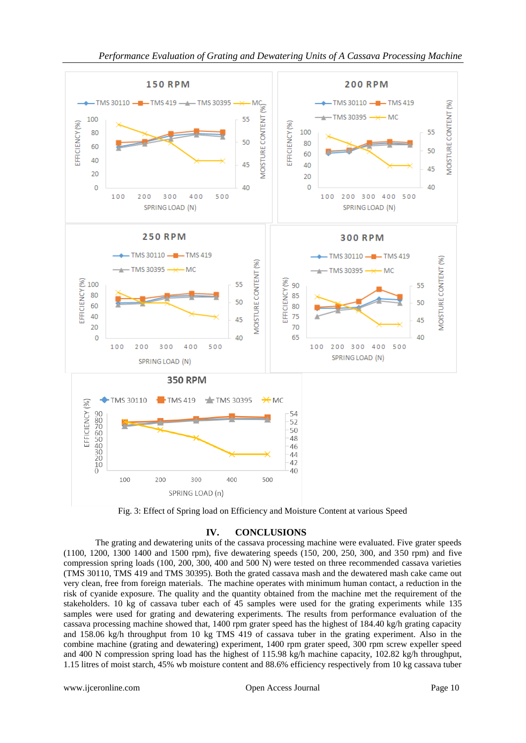

Fig. 3: Effect of Spring load on Efficiency and Moisture Content at various Speed

# **IV. CONCLUSIONS**

The grating and dewatering units of the cassava processing machine were evaluated. Five grater speeds (1100, 1200, 1300 1400 and 1500 rpm), five dewatering speeds (150, 200, 250, 300, and 350 rpm) and five compression spring loads (100, 200, 300, 400 and 500 N) were tested on three recommended cassava varieties (TMS 30110, TMS 419 and TMS 30395). Both the grated cassava mash and the dewatered mash cake came out very clean, free from foreign materials. The machine operates with minimum human contact, a reduction in the risk of cyanide exposure. The quality and the quantity obtained from the machine met the requirement of the stakeholders. 10 kg of cassava tuber each of 45 samples were used for the grating experiments while 135 samples were used for grating and dewatering experiments. The results from performance evaluation of the cassava processing machine showed that, 1400 rpm grater speed has the highest of 184.40 kg/h grating capacity and 158.06 kg/h throughput from 10 kg TMS 419 of cassava tuber in the grating experiment. Also in the combine machine (grating and dewatering) experiment, 1400 rpm grater speed, 300 rpm screw expeller speed and 400 N compression spring load has the highest of 115.98 kg/h machine capacity, 102.82 kg/h throughput, 1.15 litres of moist starch, 45% wb moisture content and 88.6% efficiency respectively from 10 kg cassava tuber